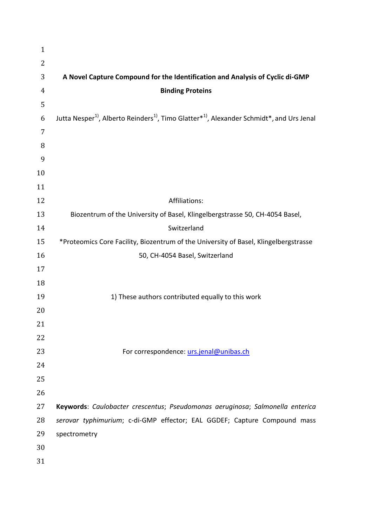| $\mathbf{1}$   |                                                                                                                                           |
|----------------|-------------------------------------------------------------------------------------------------------------------------------------------|
| $\overline{2}$ |                                                                                                                                           |
| 3              | A Novel Capture Compound for the Identification and Analysis of Cyclic di-GMP                                                             |
| 4              | <b>Binding Proteins</b>                                                                                                                   |
| 5              |                                                                                                                                           |
| 6              | Jutta Nesper <sup>1)</sup> , Alberto Reinders <sup>1)</sup> , Timo Glatter <sup>*1</sup> , Alexander Schmidt <sup>*</sup> , and Urs Jenal |
| 7              |                                                                                                                                           |
| 8              |                                                                                                                                           |
| 9              |                                                                                                                                           |
| 10             |                                                                                                                                           |
| 11             |                                                                                                                                           |
| 12             | Affiliations:                                                                                                                             |
| 13             | Biozentrum of the University of Basel, Klingelbergstrasse 50, CH-4054 Basel,                                                              |
| 14             | Switzerland                                                                                                                               |
| 15             | *Proteomics Core Facility, Biozentrum of the University of Basel, Klingelbergstrasse                                                      |
| 16             | 50, CH-4054 Basel, Switzerland                                                                                                            |
| 17             |                                                                                                                                           |
| 18             |                                                                                                                                           |
| 19             | 1) These authors contributed equally to this work                                                                                         |
| 20             |                                                                                                                                           |
| 21             |                                                                                                                                           |
| 22             |                                                                                                                                           |
| 23             | For correspondence: urs.jenal@unibas.ch                                                                                                   |
| 24             |                                                                                                                                           |
| 25             |                                                                                                                                           |
| 26             |                                                                                                                                           |
| 27             | Keywords: Caulobacter crescentus; Pseudomonas aeruginosa; Salmonella enterica                                                             |
| 28             | serovar typhimurium; c-di-GMP effector; EAL GGDEF; Capture Compound mass                                                                  |
| 29             | spectrometry                                                                                                                              |
| 30             |                                                                                                                                           |
| 31             |                                                                                                                                           |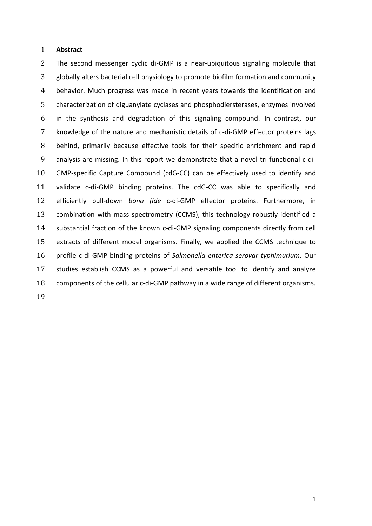### **Abstract**

 The second messenger cyclic di-GMP is a near-ubiquitous signaling molecule that globally alters bacterial cell physiology to promote biofilm formation and community behavior. Much progress was made in recent years towards the identification and characterization of diguanylate cyclases and phosphodiersterases, enzymes involved in the synthesis and degradation of this signaling compound. In contrast, our knowledge of the nature and mechanistic details of c-di-GMP effector proteins lags behind, primarily because effective tools for their specific enrichment and rapid analysis are missing. In this report we demonstrate that a novel tri-functional c-di- GMP-specific Capture Compound (cdG-CC) can be effectively used to identify and validate c-di-GMP binding proteins. The cdG-CC was able to specifically and efficiently pull-down *bona fide* c-di-GMP effector proteins. Furthermore, in combination with mass spectrometry (CCMS), this technology robustly identified a substantial fraction of the known c-di-GMP signaling components directly from cell extracts of different model organisms. Finally, we applied the CCMS technique to profile c-di-GMP binding proteins of *Salmonella enterica serovar typhimurium*. Our studies establish CCMS as a powerful and versatile tool to identify and analyze components of the cellular c-di-GMP pathway in a wide range of different organisms.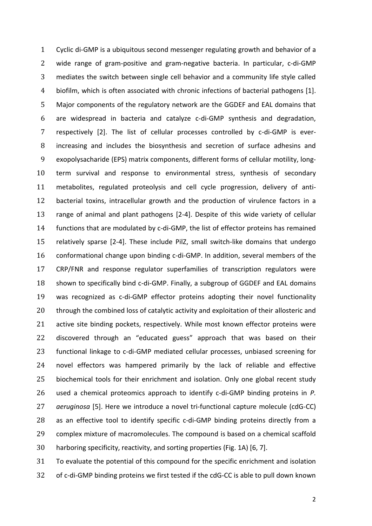Cyclic di-GMP is a ubiquitous second messenger regulating growth and behavior of a wide range of gram-positive and gram-negative bacteria. In particular, c-di-GMP mediates the switch between single cell behavior and a community life style called biofilm, which is often associated with chronic infections of bacterial pathogens [1]. Major components of the regulatory network are the GGDEF and EAL domains that are widespread in bacteria and catalyze c-di-GMP synthesis and degradation, respectively [2]. The list of cellular processes controlled by c-di-GMP is ever- increasing and includes the biosynthesis and secretion of surface adhesins and exopolysacharide (EPS) matrix components, different forms of cellular motility, long- term survival and response to environmental stress, synthesis of secondary metabolites, regulated proteolysis and cell cycle progression, delivery of anti- bacterial toxins, intracellular growth and the production of virulence factors in a range of animal and plant pathogens [2-4]. Despite of this wide variety of cellular functions that are modulated by c-di-GMP, the list of effector proteins has remained relatively sparse [2-4]. These include PilZ, small switch-like domains that undergo conformational change upon binding c-di-GMP. In addition, several members of the CRP/FNR and response regulator superfamilies of transcription regulators were shown to specifically bind c-di-GMP. Finally, a subgroup of GGDEF and EAL domains was recognized as c-di-GMP effector proteins adopting their novel functionality 20 through the combined loss of catalytic activity and exploitation of their allosteric and active site binding pockets, respectively. While most known effector proteins were discovered through an "educated guess" approach that was based on their functional linkage to c-di-GMP mediated cellular processes, unbiased screening for novel effectors was hampered primarily by the lack of reliable and effective biochemical tools for their enrichment and isolation. Only one global recent study used a chemical proteomics approach to identify c-di-GMP binding proteins in *P. aeruginosa* [5]. Here we introduce a novel tri-functional capture molecule (cdG-CC) as an effective tool to identify specific c-di-GMP binding proteins directly from a complex mixture of macromolecules. The compound is based on a chemical scaffold harboring specificity, reactivity, and sorting properties (Fig. 1A) [6, 7].

 To evaluate the potential of this compound for the specific enrichment and isolation of c-di-GMP binding proteins we first tested if the cdG-CC is able to pull down known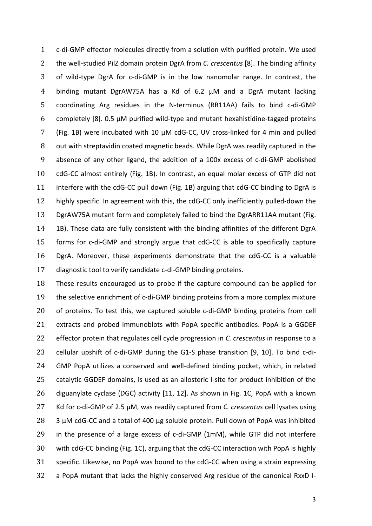c-di-GMP effector molecules directly from a solution with purified protein. We used the well-studied PilZ domain protein DgrA from *C. crescentus* [8]. The binding affinity of wild-type DgrA for c-di-GMP is in the low nanomolar range. In contrast, the 4 binding mutant DgrAW75A has a Kd of  $6.2 \mu M$  and a DgrA mutant lacking coordinating Arg residues in the N-terminus (RR11AA) fails to bind c-di-GMP completely [8]. 0.5 µM purified wild-type and mutant hexahistidine-tagged proteins (Fig. 1B) were incubated with 10 µM cdG-CC, UV cross-linked for 4 min and pulled out with streptavidin coated magnetic beads. While DgrA was readily captured in the absence of any other ligand, the addition of a 100x excess of c-di-GMP abolished cdG-CC almost entirely (Fig. 1B). In contrast, an equal molar excess of GTP did not interfere with the cdG-CC pull down (Fig. 1B) arguing that cdG-CC binding to DgrA is highly specific. In agreement with this, the cdG-CC only inefficiently pulled-down the DgrAW75A mutant form and completely failed to bind the DgrARR11AA mutant (Fig. 1B). These data are fully consistent with the binding affinities of the different DgrA forms for c-di-GMP and strongly argue that cdG-CC is able to specifically capture DgrA. Moreover, these experiments demonstrate that the cdG-CC is a valuable diagnostic tool to verify candidate c-di-GMP binding proteins.

 These results encouraged us to probe if the capture compound can be applied for the selective enrichment of c-di-GMP binding proteins from a more complex mixture 20 of proteins. To test this, we captured soluble c-di-GMP binding proteins from cell extracts and probed immunoblots with PopA specific antibodies. PopA is a GGDEF effector protein that regulates cell cycle progression in *C. crescentus* in response to a cellular upshift of c-di-GMP during the G1-S phase transition [9, 10]. To bind c-di- GMP PopA utilizes a conserved and well-defined binding pocket, which, in related catalytic GGDEF domains, is used as an allosteric I-site for product inhibition of the diguanylate cyclase (DGC) activity [11, 12]. As shown in Fig. 1C, PopA with a known Kd for c-di-GMP of 2.5 µM, was readily captured from *C. crescentus* cell lysates using 3  $\mu$ M cdG-CC and a total of 400  $\mu$ g soluble protein. Pull down of PopA was inhibited in the presence of a large excess of c-di-GMP (1mM), while GTP did not interfere with cdG-CC binding (Fig. 1C), arguing that the cdG-CC interaction with PopA is highly specific. Likewise, no PopA was bound to the cdG-CC when using a strain expressing a PopA mutant that lacks the highly conserved Arg residue of the canonical RxxD I-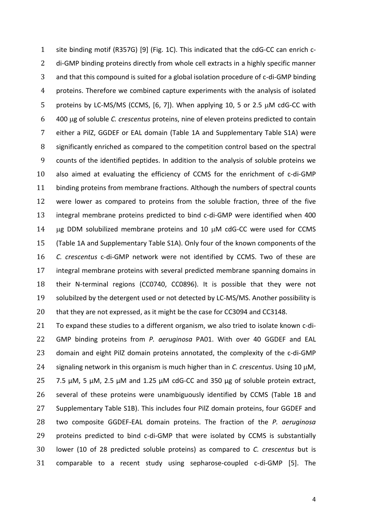site binding motif (R357G) [9] (Fig. 1C). This indicated that the cdG-CC can enrich c- di-GMP binding proteins directly from whole cell extracts in a highly specific manner and that this compound is suited for a global isolation procedure of c-di-GMP binding proteins. Therefore we combined capture experiments with the analysis of isolated 5 proteins by LC-MS/MS (CCMS,  $[6, 7]$ ). When applying 10, 5 or 2.5  $\mu$ M cdG-CC with 400 g of soluble *C. crescentus* proteins, nine of eleven proteins predicted to contain either a PilZ, GGDEF or EAL domain (Table 1A and Supplementary Table S1A) were significantly enriched as compared to the competition control based on the spectral counts of the identified peptides. In addition to the analysis of soluble proteins we also aimed at evaluating the efficiency of CCMS for the enrichment of c-di-GMP binding proteins from membrane fractions. Although the numbers of spectral counts were lower as compared to proteins from the soluble fraction, three of the five integral membrane proteins predicted to bind c-di-GMP were identified when 400  $\mu$ g DDM solubilized membrane proteins and 10  $\mu$ M cdG-CC were used for CCMS (Table 1A and Supplementary Table S1A). Only four of the known components of the *C. crescentus* c-di-GMP network were not identified by CCMS. Two of these are integral membrane proteins with several predicted membrane spanning domains in their N-terminal regions (CC0740, CC0896). It is possible that they were not 19 solubilzed by the detergent used or not detected by LC-MS/MS. Another possibility is that they are not expressed, as it might be the case for CC3094 and CC3148.

 To expand these studies to a different organism, we also tried to isolate known c-di- GMP binding proteins from *P. aeruginosa* PA01. With over 40 GGDEF and EAL domain and eight PilZ domain proteins annotated, the complexity of the c-di-GMP 24 signaling network in this organism is much higher than in *C. crescentus*. Using 10  $\mu$ M, 7.5 µM, 5 µM, 2.5 µM and 1.25 µM cdG-CC and 350 µg of soluble protein extract, several of these proteins were unambiguously identified by CCMS (Table 1B and Supplementary Table S1B). This includes four PilZ domain proteins, four GGDEF and two composite GGDEF-EAL domain proteins. The fraction of the *P. aeruginosa*  proteins predicted to bind c-di-GMP that were isolated by CCMS is substantially lower (10 of 28 predicted soluble proteins) as compared to *C. crescentus* but is comparable to a recent study using sepharose-coupled c-di-GMP [5]. The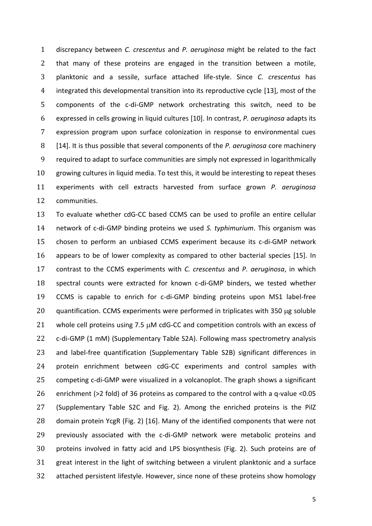discrepancy between *C. crescentus* and *P. aeruginosa* might be related to the fact that many of these proteins are engaged in the transition between a motile, planktonic and a sessile, surface attached life-style. Since *C. crescentus* has integrated this developmental transition into its reproductive cycle [13], most of the components of the c-di-GMP network orchestrating this switch, need to be expressed in cells growing in liquid cultures [10]. In contrast, *P. aeruginosa* adapts its expression program upon surface colonization in response to environmental cues [14]. It is thus possible that several components of the *P. aeruginosa* core machinery required to adapt to surface communities are simply not expressed in logarithmically growing cultures in liquid media. To test this, it would be interesting to repeat theses experiments with cell extracts harvested from surface grown *P. aeruginosa* communities.

 To evaluate whether cdG-CC based CCMS can be used to profile an entire cellular network of c-di-GMP binding proteins we used *S. typhimurium*. This organism was chosen to perform an unbiased CCMS experiment because its c-di-GMP network appears to be of lower complexity as compared to other bacterial species [15]. In contrast to the CCMS experiments with *C. crescentus* and *P. aeruginosa*, in which spectral counts were extracted for known c-di-GMP binders, we tested whether CCMS is capable to enrich for c-di-GMP binding proteins upon MS1 label-free 20 quantification. CCMS experiments were performed in triplicates with 350  $\mu$ g soluble 21 whole cell proteins using  $7.5 \mu$ M cdG-CC and competition controls with an excess of c-di-GMP (1 mM) (Supplementary Table S2A). Following mass spectrometry analysis and label-free quantification (Supplementary Table S2B) significant differences in protein enrichment between cdG-CC experiments and control samples with competing c-di-GMP were visualized in a volcanoplot. The graph shows a significant enrichment (>2 fold) of 36 proteins as compared to the control with a q-value <0.05 (Supplementary Table S2C and Fig. 2). Among the enriched proteins is the PilZ domain protein YcgR (Fig. 2) [16]. Many of the identified components that were not previously associated with the c-di-GMP network were metabolic proteins and proteins involved in fatty acid and LPS biosynthesis (Fig. 2). Such proteins are of great interest in the light of switching between a virulent planktonic and a surface attached persistent lifestyle. However, since none of these proteins show homology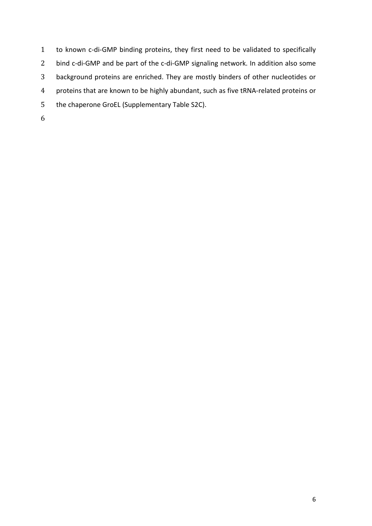to known c-di-GMP binding proteins, they first need to be validated to specifically bind c-di-GMP and be part of the c-di-GMP signaling network. In addition also some background proteins are enriched. They are mostly binders of other nucleotides or proteins that are known to be highly abundant, such as five tRNA-related proteins or the chaperone GroEL (Supplementary Table S2C).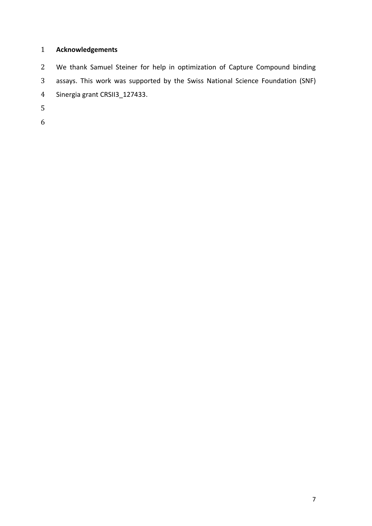## **Acknowledgements**

 We thank Samuel Steiner for help in optimization of Capture Compound binding assays. This work was supported by the Swiss National Science Foundation (SNF) Sinergia grant CRSII3\_127433.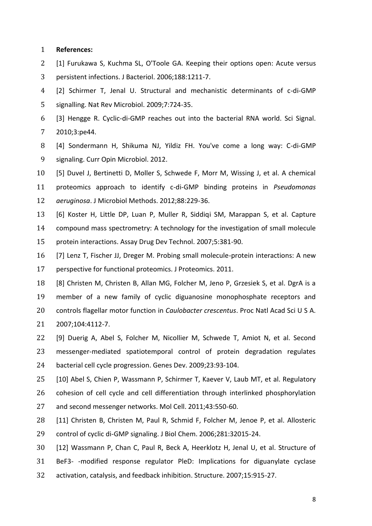### **References:**

- [1] Furukawa S, Kuchma SL, O'Toole GA. Keeping their options open: Acute versus
- persistent infections. J Bacteriol. 2006;188:1211-7.
- [2] Schirmer T, Jenal U. Structural and mechanistic determinants of c-di-GMP signalling. Nat Rev Microbiol. 2009;7:724-35.
- [3] Hengge R. Cyclic-di-GMP reaches out into the bacterial RNA world. Sci Signal. 2010;3:pe44.
- [4] Sondermann H, Shikuma NJ, Yildiz FH. You've come a long way: C-di-GMP signaling. Curr Opin Microbiol. 2012.
- [5] Duvel J, Bertinetti D, Moller S, Schwede F, Morr M, Wissing J, et al. A chemical

 proteomics approach to identify c-di-GMP binding proteins in *Pseudomonas aeruginosa*. J Microbiol Methods. 2012;88:229-36.

- [6] Koster H, Little DP, Luan P, Muller R, Siddiqi SM, Marappan S, et al. Capture compound mass spectrometry: A technology for the investigation of small molecule
- protein interactions. Assay Drug Dev Technol. 2007;5:381-90.
- [7] Lenz T, Fischer JJ, Dreger M. Probing small molecule-protein interactions: A new perspective for functional proteomics. J Proteomics. 2011.
- [8] Christen M, Christen B, Allan MG, Folcher M, Jeno P, Grzesiek S, et al. DgrA is a member of a new family of cyclic diguanosine monophosphate receptors and controls flagellar motor function in *Caulobacter crescentus*. Proc Natl Acad Sci U S A. 2007;104:4112-7.
- [9] Duerig A, Abel S, Folcher M, Nicollier M, Schwede T, Amiot N, et al. Second messenger-mediated spatiotemporal control of protein degradation regulates bacterial cell cycle progression. Genes Dev. 2009;23:93-104.
- [10] Abel S, Chien P, Wassmann P, Schirmer T, Kaever V, Laub MT, et al. Regulatory cohesion of cell cycle and cell differentiation through interlinked phosphorylation and second messenger networks. Mol Cell. 2011;43:550-60.
- [11] Christen B, Christen M, Paul R, Schmid F, Folcher M, Jenoe P, et al. Allosteric control of cyclic di-GMP signaling. J Biol Chem. 2006;281:32015-24.
- [12] Wassmann P, Chan C, Paul R, Beck A, Heerklotz H, Jenal U, et al. Structure of BeF3- -modified response regulator PleD: Implications for diguanylate cyclase
- activation, catalysis, and feedback inhibition. Structure. 2007;15:915-27.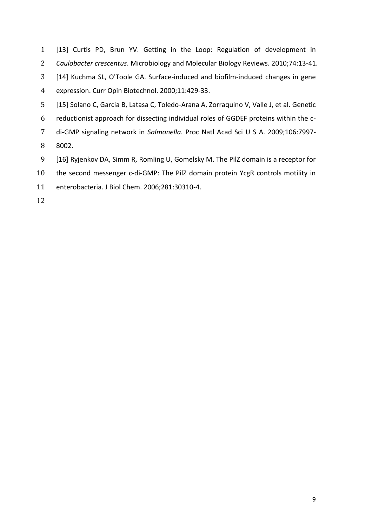[13] Curtis PD, Brun YV. Getting in the Loop: Regulation of development in *Caulobacter crescentus*. Microbiology and Molecular Biology Reviews. 2010;74:13-41. [14] Kuchma SL, O'Toole GA. Surface-induced and biofilm-induced changes in gene expression. Curr Opin Biotechnol. 2000;11:429-33. [15] Solano C, Garcia B, Latasa C, Toledo-Arana A, Zorraquino V, Valle J, et al. Genetic reductionist approach for dissecting individual roles of GGDEF proteins within the c- di-GMP signaling network in *Salmonella*. Proc Natl Acad Sci U S A. 2009;106:7997- 8002. [16] Ryjenkov DA, Simm R, Romling U, Gomelsky M. The PilZ domain is a receptor for the second messenger c-di-GMP: The PilZ domain protein YcgR controls motility in

enterobacteria. J Biol Chem. 2006;281:30310-4.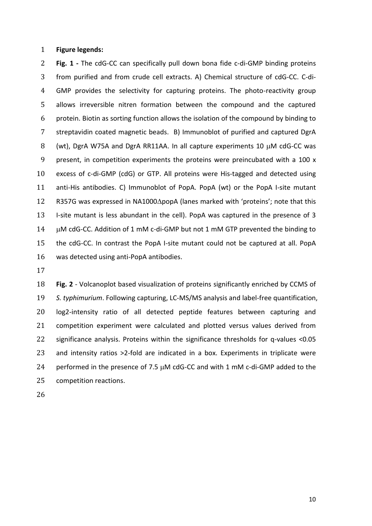### **Figure legends:**

 **Fig. 1 -** The cdG-CC can specifically pull down bona fide c-di-GMP binding proteins from purified and from crude cell extracts. A) Chemical structure of cdG-CC. C-di- GMP provides the selectivity for capturing proteins. The photo-reactivity group allows irreversible nitren formation between the compound and the captured protein. Biotin as sorting function allows the isolation of the compound by binding to streptavidin coated magnetic beads. B) Immunoblot of purified and captured DgrA 8 (wt), DgrA W75A and DgrA RR11AA. In all capture experiments 10  $\mu$ M cdG-CC was present, in competition experiments the proteins were preincubated with a 100 x excess of c-di-GMP (cdG) or GTP. All proteins were His-tagged and detected using anti-His antibodies. C) Immunoblot of PopA. PopA (wt) or the PopA I-site mutant 12 R357G was expressed in NA1000 $\Delta$ popA (lanes marked with 'proteins'; note that this I-site mutant is less abundant in the cell). PopA was captured in the presence of 3 14 M cdG-CC. Addition of 1 mM c-di-GMP but not 1 mM GTP prevented the binding to the cdG-CC. In contrast the PopA I-site mutant could not be captured at all. PopA was detected using anti-PopA antibodies.

 **Fig. 2** - Volcanoplot based visualization of proteins significantly enriched by CCMS of *S. typhimurium*. Following capturing, LC-MS/MS analysis and label-free quantification, log2-intensity ratio of all detected peptide features between capturing and competition experiment were calculated and plotted versus values derived from significance analysis. Proteins within the significance thresholds for q-values <0.05 and intensity ratios >2-fold are indicated in a box. Experiments in triplicate were 24 performed in the presence of 7.5  $\mu$ M cdG-CC and with 1 mM c-di-GMP added to the competition reactions.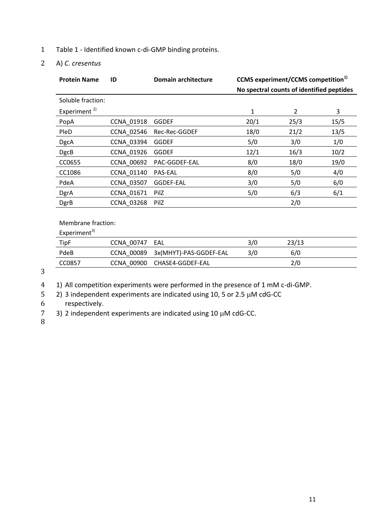- 1 Table 1 Identified known c-di-GMP binding proteins.
- 2 A) *C. cresentus*

| <b>Protein Name</b>      | ID                | <b>Domain architecture</b> | <b>CCMS</b> experiment/CCMS competition <sup>1)</sup> |      |      |  |
|--------------------------|-------------------|----------------------------|-------------------------------------------------------|------|------|--|
|                          |                   |                            | No spectral counts of identified peptides             |      |      |  |
| Soluble fraction:        |                   |                            |                                                       |      |      |  |
| Experiment <sup>2)</sup> |                   |                            | $\mathbf{1}$                                          | 2    | 3    |  |
| PopA                     | <b>CCNA 01918</b> | <b>GGDEF</b>               | 20/1                                                  | 25/3 | 15/5 |  |
| PleD                     | CCNA_02546        | Rec-Rec-GGDEF              | 18/0                                                  | 21/2 | 13/5 |  |
| <b>DgcA</b>              | CCNA 03394        | <b>GGDEF</b>               | 5/0                                                   | 3/0  | 1/0  |  |
| <b>DgcB</b>              | CCNA 01926        | <b>GGDEF</b>               | 12/1                                                  | 16/3 | 10/2 |  |
| CC0655                   | <b>CCNA 00692</b> | PAC-GGDEF-EAL              | 8/0                                                   | 18/0 | 19/0 |  |
| CC1086                   | CCNA 01140        | <b>PAS-EAL</b>             | 8/0                                                   | 5/0  | 4/0  |  |
| PdeA                     | <b>CCNA 03507</b> | GGDEF-EAL                  | 3/0                                                   | 5/0  | 6/0  |  |
| DgrA                     | CCNA_01671        | PilZ                       | 5/0                                                   | 6/3  | 6/1  |  |
| <b>DgrB</b>              | <b>CCNA 03268</b> | PilZ                       |                                                       | 2/0  |      |  |
|                          |                   |                            |                                                       |      |      |  |

Membrane fraction:

Experiment $3$ )

| TipF   | CCNA 00747<br>EAL |                                   | 3/0 | 23/13 |  |
|--------|-------------------|-----------------------------------|-----|-------|--|
| PdeB   |                   | CCNA 00089 3x(MHYT)-PAS-GGDEF-EAL | 3/0 | 6/0   |  |
| CC0857 | CCNA 00900        | CHASE4-GGDEF-EAL                  |     | 2/0   |  |
|        |                   |                                   |     |       |  |

3

4 1) All competition experiments were performed in the presence of 1 mM c-di-GMP.

5 2) 3 independent experiments are indicated using 10, 5 or 2.5  $\mu$ M cdG-CC

6 respectively.

7 3) 2 independent experiments are indicated using 10  $\mu$ M cdG-CC.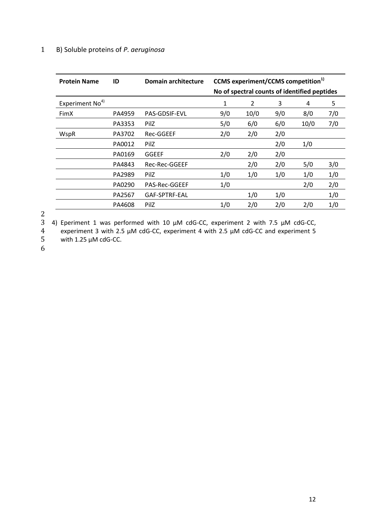## 1 B) Soluble proteins of *P. aeruginosa*

| <b>Protein Name</b>         | ID     | <b>Domain architecture</b> | <b>CCMS</b> experiment/CCMS competition <sup>1)</sup><br>No of spectral counts of identified peptides |      |     |      |     |
|-----------------------------|--------|----------------------------|-------------------------------------------------------------------------------------------------------|------|-----|------|-----|
| Experiment No <sup>4)</sup> |        |                            | 1                                                                                                     | 2    | 3   | 4    | 5   |
| FimX                        | PA4959 | <b>PAS-GDSIF-EVL</b>       | 9/0                                                                                                   | 10/0 | 9/0 | 8/0  | 7/0 |
|                             | PA3353 | PilZ                       | 5/0                                                                                                   | 6/0  | 6/0 | 10/0 | 7/0 |
| WspR                        | PA3702 | Rec-GGEEF                  | 2/0                                                                                                   | 2/0  | 2/0 |      |     |
|                             | PA0012 | PilZ                       |                                                                                                       |      | 2/0 | 1/0  |     |
|                             | PA0169 | <b>GGEEF</b>               | 2/0                                                                                                   | 2/0  | 2/0 |      |     |
|                             | PA4843 | Rec-Rec-GGEEF              |                                                                                                       | 2/0  | 2/0 | 5/0  | 3/0 |
|                             | PA2989 | PilZ                       | 1/0                                                                                                   | 1/0  | 1/0 | 1/0  | 1/0 |
|                             | PA0290 | <b>PAS-Rec-GGEEF</b>       | 1/0                                                                                                   |      |     | 2/0  | 2/0 |
|                             | PA2567 | GAF-SPTRF-EAL              |                                                                                                       | 1/0  | 1/0 |      | 1/0 |
|                             | PA4608 | PilZ                       | 1/0                                                                                                   | 2/0  | 2/0 | 2/0  | 1/0 |

2

3 4) Eperiment 1 was performed with 10  $\mu$ M cdG-CC, experiment 2 with 7.5  $\mu$ M cdG-CC,  $\mu$  experiment 3 with 2.5  $\mu$ M cdG-CC, experiment 4 with 2.5  $\mu$ M cdG-CC and experiment 5 4 experiment 3 with 2.5  $\mu$ M cdG-CC, experiment 4 with 2.5  $\mu$ M cdG-CC and experiment 5<br>5 with 1.25  $\mu$ M cdG-CC.

with 1.25  $\mu$ M cdG-CC.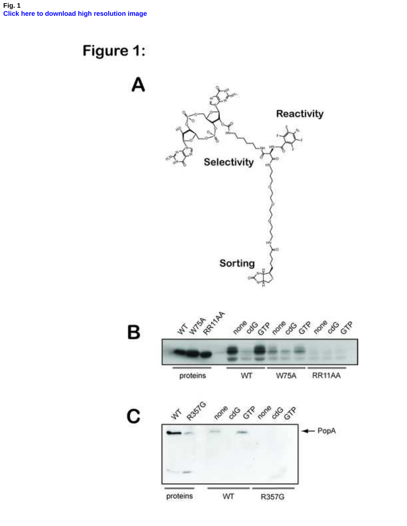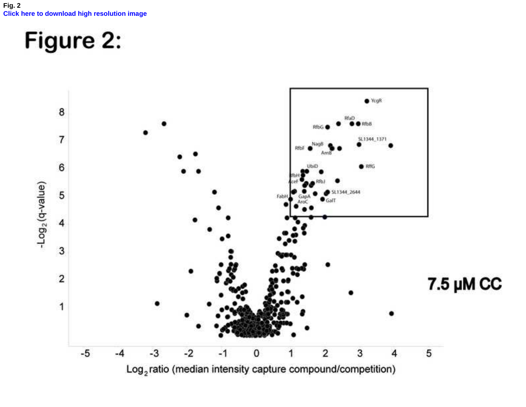**Fig. 2 [Click here to download high resolution image](http://ees.elsevier.com/jprot/download.aspx?id=89081&guid=e46b6d37-a106-4ecc-9b37-6260b1b40679&scheme=1)**

# Figure 2:

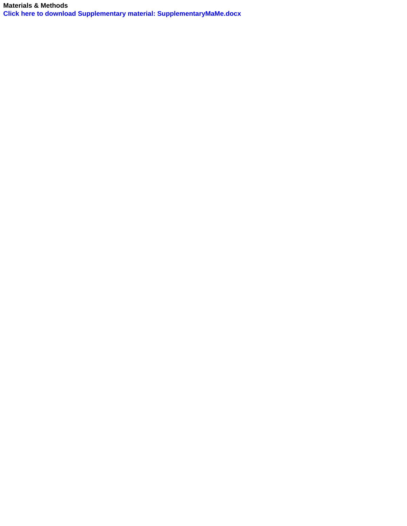**Materials & Methods [Click here to download Supplementary material: SupplementaryMaMe.docx](http://ees.elsevier.com/jprot/download.aspx?id=89082&guid=8fd01d7c-a317-43d4-8cd9-04b4d35d4732&scheme=1)**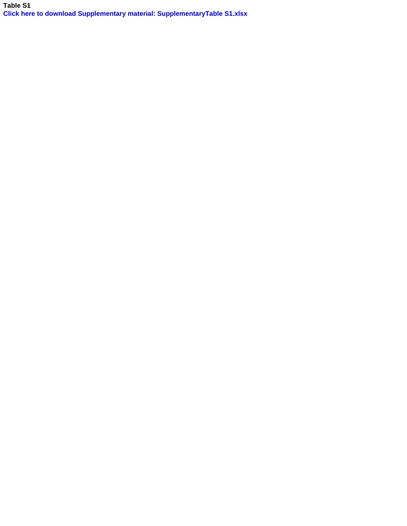**Table S1 [Click here to download Supplementary material: SupplementaryTable S1.xlsx](http://ees.elsevier.com/jprot/download.aspx?id=89083&guid=9907fdfe-0b34-4396-8af5-5729d9af6877&scheme=1)**